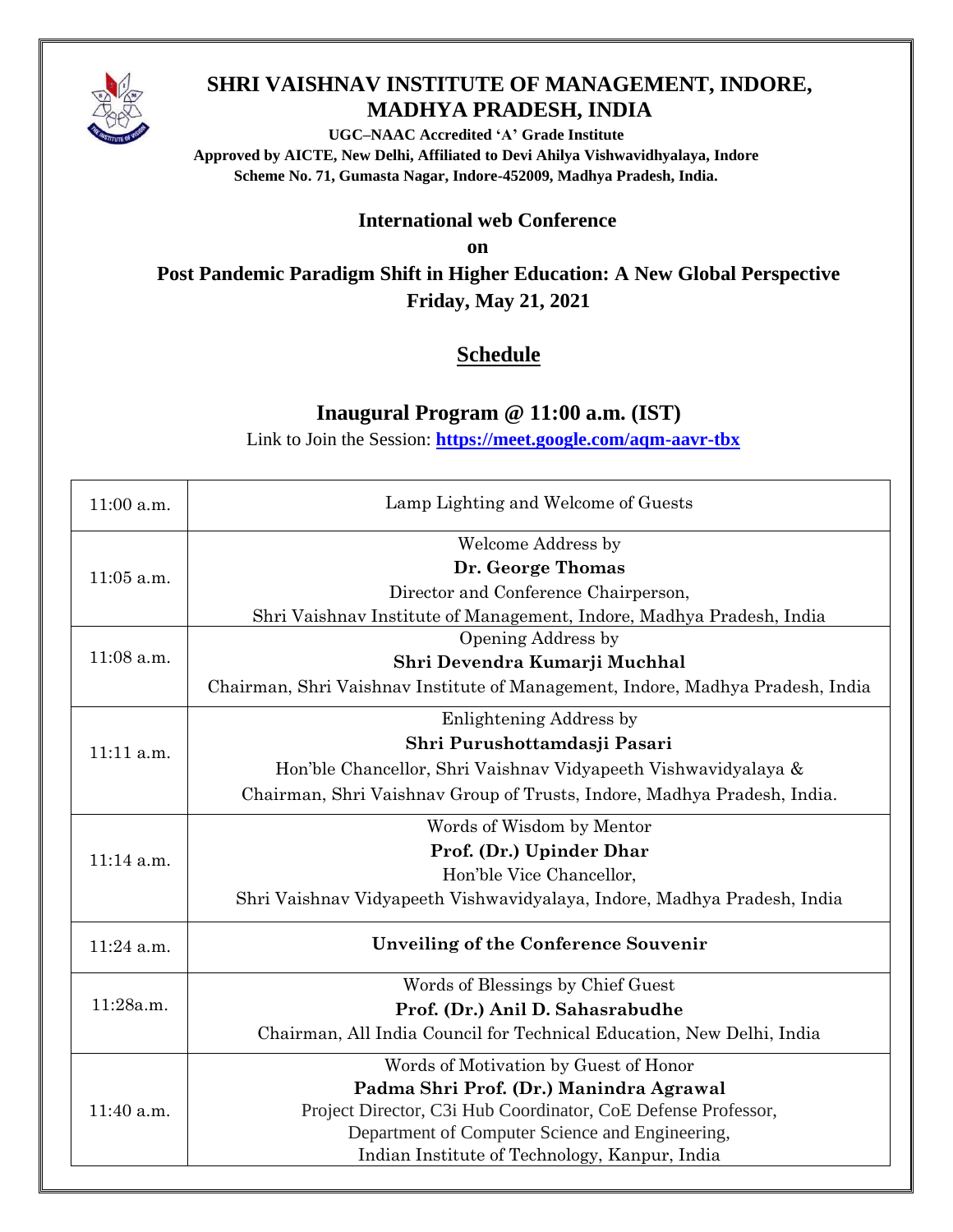

## **SHRI VAISHNAV INSTITUTE OF MANAGEMENT, INDORE, MADHYA PRADESH, INDIA**

**UGC–NAAC Accredited 'A' Grade Institute Approved by AICTE, New Delhi, Affiliated to Devi Ahilya Vishwavidhyalaya, Indore Scheme No. 71, Gumasta Nagar, Indore-452009, Madhya Pradesh, India.**

## **International web Conference**

**on**

**Post Pandemic Paradigm Shift in Higher Education: A New Global Perspective Friday, May 21, 2021**

## **Schedule**

## **Inaugural Program @ 11:00 a.m. (IST)**

Link to Join the Session: **<https://meet.google.com/aqm-aavr-tbx>**

| 11:00 a.m.   | Lamp Lighting and Welcome of Guests                                            |
|--------------|--------------------------------------------------------------------------------|
| $11:05$ a.m. | <b>Welcome Address by</b>                                                      |
|              | Dr. George Thomas                                                              |
|              | Director and Conference Chairperson,                                           |
|              | Shri Vaishnav Institute of Management, Indore, Madhya Pradesh, India           |
| 11:08 a.m.   | Opening Address by                                                             |
|              | Shri Devendra Kumarji Muchhal                                                  |
|              | Chairman, Shri Vaishnav Institute of Management, Indore, Madhya Pradesh, India |
| 11:11 a.m.   | Enlightening Address by                                                        |
|              | Shri Purushottamdasji Pasari                                                   |
|              | Hon'ble Chancellor, Shri Vaishnav Vidyapeeth Vishwavidyalaya &                 |
|              | Chairman, Shri Vaishnav Group of Trusts, Indore, Madhya Pradesh, India.        |
| $11:14$ a.m. | Words of Wisdom by Mentor                                                      |
|              | Prof. (Dr.) Upinder Dhar                                                       |
|              | Hon'ble Vice Chancellor,                                                       |
|              | Shri Vaishnav Vidyapeeth Vishwavidyalaya, Indore, Madhya Pradesh, India        |
| 11:24 a.m.   | Unveiling of the Conference Souvenir                                           |
| 11:28a.m.    | Words of Blessings by Chief Guest                                              |
|              | Prof. (Dr.) Anil D. Sahasrabudhe                                               |
|              | Chairman, All India Council for Technical Education, New Delhi, India          |
| 11:40 a.m.   | Words of Motivation by Guest of Honor                                          |
|              | Padma Shri Prof. (Dr.) Manindra Agrawal                                        |
|              | Project Director, C3i Hub Coordinator, CoE Defense Professor,                  |
|              | Department of Computer Science and Engineering,                                |
|              | Indian Institute of Technology, Kanpur, India                                  |